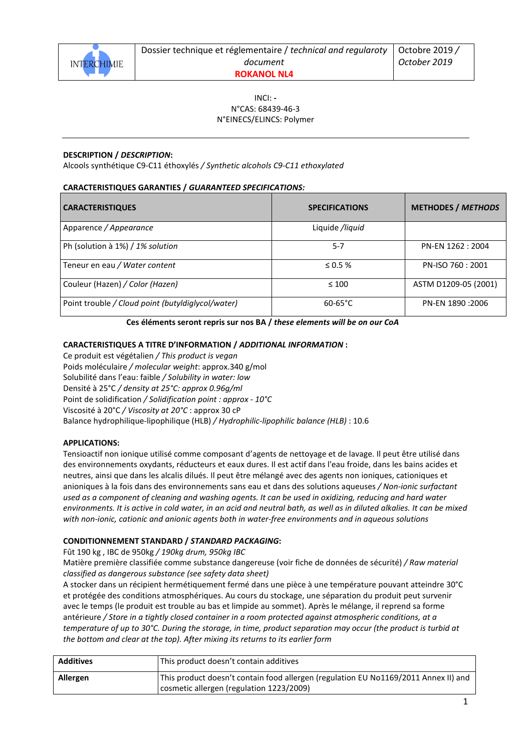

# INCI: **-** N°CAS: 68439-46-3 N°EINECS/ELINCS: Polymer

## **DESCRIPTION /** *DESCRIPTION***:**

Alcools synthétique C9-C11 éthoxylés */ Synthetic alcohols C9-C11 ethoxylated* 

## **CARACTERISTIQUES GARANTIES /** *GUARANTEED SPECIFICATIONS:*

| <b>CARACTERISTIQUES</b>                           | <b>SPECIFICATIONS</b> | <b>METHODES / METHODS</b> |
|---------------------------------------------------|-----------------------|---------------------------|
| Apparence / Appearance                            | Liquide /liquid       |                           |
| Ph (solution à 1%) / 1% solution                  | $5 - 7$               | PN-EN 1262 : 2004         |
| Teneur en eau / Water content                     | $\leq 0.5 \%$         | PN-ISO 760: 2001          |
| Couleur (Hazen) / Color (Hazen)                   | $\leq 100$            | ASTM D1209-05 (2001)      |
| Point trouble / Cloud point (butyldiglycol/water) | $60 - 65^{\circ}C$    | PN-EN 1890 : 2006         |

### **Ces éléments seront repris sur nos BA /** *these elements will be on our CoA*

## **CARACTERISTIQUES A TITRE D'INFORMATION /** *ADDITIONAL INFORMATION* **:**

Ce produit est végétalien */ This product is vegan*  Poids moléculaire */ molecular weight*: approx.340 g/mol Solubilité dans l'eau: faible */ Solubility in water: low*  Densité à 25°C */ density at 25°C: approx 0.96g/ml* Point de solidification */ Solidification point : approx - 10°C*  Viscosité à 20°C */ Viscosity at 20°C* : approx 30 cP Balance hydrophilique-lipophilique (HLB) */ Hydrophilic-lipophilic balance (HLB)* : 10.6

### **APPLICATIONS:**

Tensioactif non ionique utilisé comme composant d'agents de nettoyage et de lavage. Il peut être utilisé dans des environnements oxydants, réducteurs et eaux dures. Il est actif dans l'eau froide, dans les bains acides et neutres, ainsi que dans les alcalis dilués. Il peut être mélangé avec des agents non ioniques, cationiques et anioniques à la fois dans des environnements sans eau et dans des solutions aqueuses */ Non-ionic surfactant used as a component of cleaning and washing agents. It can be used in oxidizing, reducing and hard water environments. It is active in cold water, in an acid and neutral bath, as well as in diluted alkalies. It can be mixed with non-ionic, cationic and anionic agents both in water-free environments and in aqueous solutions* 

### **CONDITIONNEMENT STANDARD /** *STANDARD PACKAGING***:**

Fût 190 kg , IBC de 950kg */ 190kg drum, 950kg IBC*

Matière première classifiée comme substance dangereuse (voir fiche de données de sécurité) */ Raw material classified as dangerous substance (see safety data sheet)* 

A stocker dans un récipient hermétiquement fermé dans une pièce à une température pouvant atteindre 30°C et protégée des conditions atmosphériques. Au cours du stockage, une séparation du produit peut survenir avec le temps (le produit est trouble au bas et limpide au sommet). Après le mélange, il reprend sa forme antérieure */ Store in a tightly closed container in a room protected against atmospheric conditions, at a temperature of up to 30°C. During the storage, in time, product separation may occur (the product is turbid at the bottom and clear at the top). After mixing its returns to its earlier form* 

| <b>Additives</b> | This product doesn't contain additives                                                |
|------------------|---------------------------------------------------------------------------------------|
| Allergen         | I This product doesn't contain food allergen (regulation EU No1169/2011 Annex II) and |
|                  | cosmetic allergen (regulation 1223/2009)                                              |